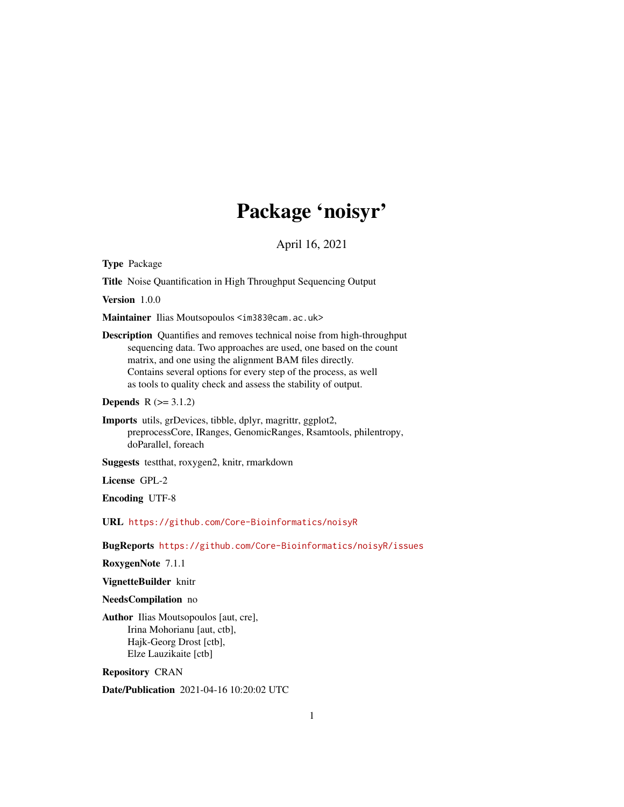# Package 'noisyr'

April 16, 2021

Type Package

Title Noise Quantification in High Throughput Sequencing Output

Version 1.0.0

Maintainer Ilias Moutsopoulos <im383@cam.ac.uk>

Description Quantifies and removes technical noise from high-throughput sequencing data. Two approaches are used, one based on the count matrix, and one using the alignment BAM files directly. Contains several options for every step of the process, as well as tools to quality check and assess the stability of output.

**Depends**  $R$  ( $>= 3.1.2$ )

Imports utils, grDevices, tibble, dplyr, magrittr, ggplot2, preprocessCore, IRanges, GenomicRanges, Rsamtools, philentropy, doParallel, foreach

Suggests testthat, roxygen2, knitr, rmarkdown

License GPL-2

Encoding UTF-8

URL <https://github.com/Core-Bioinformatics/noisyR>

BugReports <https://github.com/Core-Bioinformatics/noisyR/issues>

RoxygenNote 7.1.1

VignetteBuilder knitr

NeedsCompilation no

Author Ilias Moutsopoulos [aut, cre], Irina Mohorianu [aut, ctb], Hajk-Georg Drost [ctb], Elze Lauzikaite [ctb]

Repository CRAN

Date/Publication 2021-04-16 10:20:02 UTC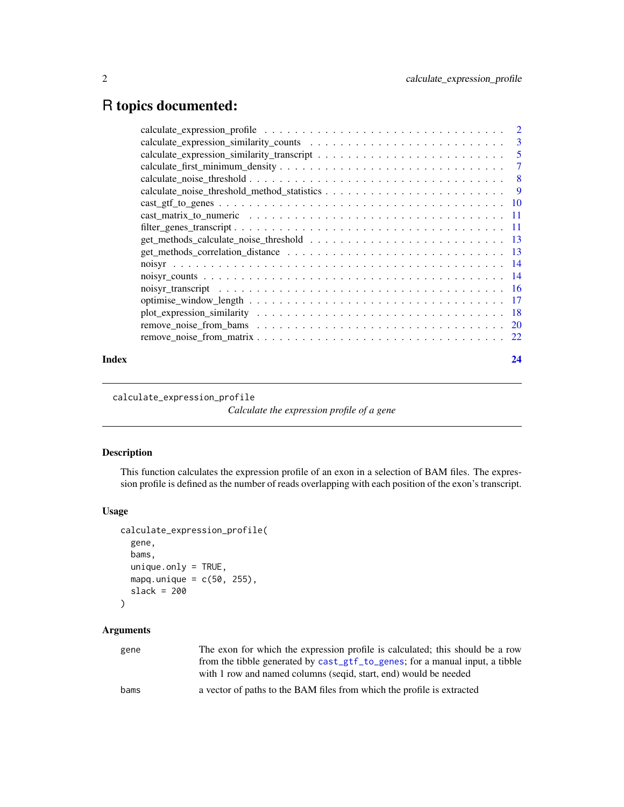# <span id="page-1-0"></span>R topics documented:

| Index | 24 |
|-------|----|

calculate\_expression\_profile

*Calculate the expression profile of a gene*

#### Description

This function calculates the expression profile of an exon in a selection of BAM files. The expression profile is defined as the number of reads overlapping with each position of the exon's transcript.

#### Usage

```
calculate_expression_profile(
  gene,
 bams,
 unique.only = TRUE,
 mapq.unique = c(50, 255),
 slack = 200
```

```
)
```
#### Arguments

| gene | The exon for which the expression profile is calculated; this should be a row |
|------|-------------------------------------------------------------------------------|
|      | from the tibble generated by cast_gtf_to_genes; for a manual input, a tibble  |
|      | with 1 row and named columns (seqid, start, end) would be needed              |
| bams | a vector of paths to the BAM files from which the profile is extracted        |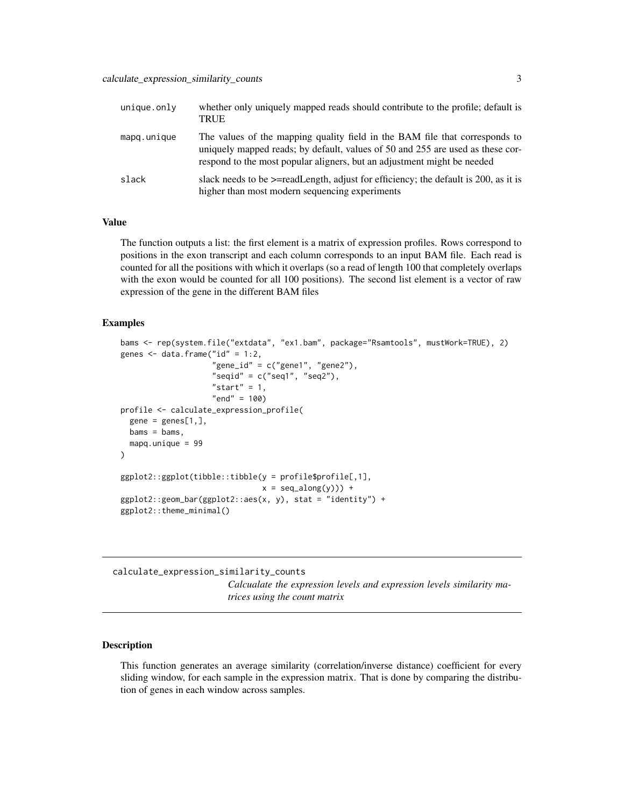<span id="page-2-0"></span>

| unique.out  | whether only uniquely mapped reads should contribute to the profile; default is<br><b>TRUE</b>                                                                                                                                           |
|-------------|------------------------------------------------------------------------------------------------------------------------------------------------------------------------------------------------------------------------------------------|
| mapg.unique | The values of the mapping quality field in the BAM file that corresponds to<br>uniquely mapped reads; by default, values of 50 and 255 are used as these cor-<br>respond to the most popular aligners, but an adjustment might be needed |
| slack       | slack needs to be $\ge$ =readLength, adjust for efficiency; the default is 200, as it is<br>higher than most modern sequencing experiments                                                                                               |

The function outputs a list: the first element is a matrix of expression profiles. Rows correspond to positions in the exon transcript and each column corresponds to an input BAM file. Each read is counted for all the positions with which it overlaps (so a read of length 100 that completely overlaps with the exon would be counted for all 100 positions). The second list element is a vector of raw expression of the gene in the different BAM files

#### Examples

```
bams <- rep(system.file("extdata", "ex1.bam", package="Rsamtools", mustWork=TRUE), 2)
genes \leq data.frame("id" = 1:2,
                    "gene_id" = c("gene1", "gene2"),
                    "seqid" = c("seq1", "seq2"),
                    "start" = 1,"end" = 100profile <- calculate_expression_profile(
 gene = genes[1,],bams = bams,mapq.unique = 99
)
ggplot2::ggplot(tibble::tibble(y = profile$profile[,1],
                              x = seq\_along(y)) +
ggplot2::geom\_bar(ggplot2::aes(x, y), stat = "identity") +ggplot2::theme_minimal()
```
<span id="page-2-1"></span>calculate\_expression\_similarity\_counts *Calcualate the expression levels and expression levels similarity matrices using the count matrix*

#### Description

This function generates an average similarity (correlation/inverse distance) coefficient for every sliding window, for each sample in the expression matrix. That is done by comparing the distribution of genes in each window across samples.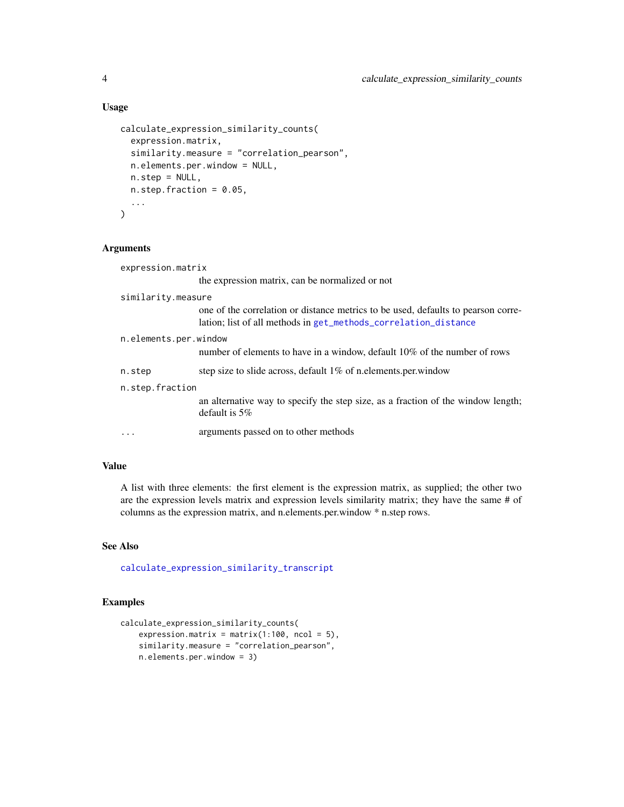#### Usage

```
calculate_expression_similarity_counts(
  expression.matrix,
  similarity.measure = "correlation_pearson",
 n.elements.per.window = NULL,
  n.step = NULL,
 n. step. fraction = 0.05,...
\mathcal{L}
```
#### Arguments

| expression.matrix     |                                                                                                                                                      |
|-----------------------|------------------------------------------------------------------------------------------------------------------------------------------------------|
|                       | the expression matrix, can be normalized or not                                                                                                      |
| similarity.measure    |                                                                                                                                                      |
|                       | one of the correlation or distance metrics to be used, defaults to pearson corre-<br>lation; list of all methods in get_methods_correlation_distance |
| n.elements.per.window |                                                                                                                                                      |
|                       | number of elements to have in a window, default 10% of the number of rows                                                                            |
| n.step                | step size to slide across, default 1% of n.elements.per.window                                                                                       |
| n.step.fraction       |                                                                                                                                                      |
|                       | an alternative way to specify the step size, as a fraction of the window length;<br>default is $5\%$                                                 |
| .                     | arguments passed on to other methods                                                                                                                 |

#### Value

A list with three elements: the first element is the expression matrix, as supplied; the other two are the expression levels matrix and expression levels similarity matrix; they have the same # of columns as the expression matrix, and n.elements.per.window \* n.step rows.

#### See Also

[calculate\\_expression\\_similarity\\_transcript](#page-4-1)

```
calculate_expression_similarity_counts(
   expression.matrix = matrix(1:100, ncol = 5),
   similarity.measure = "correlation_pearson",
   n.elements.per.window = 3)
```
<span id="page-3-0"></span>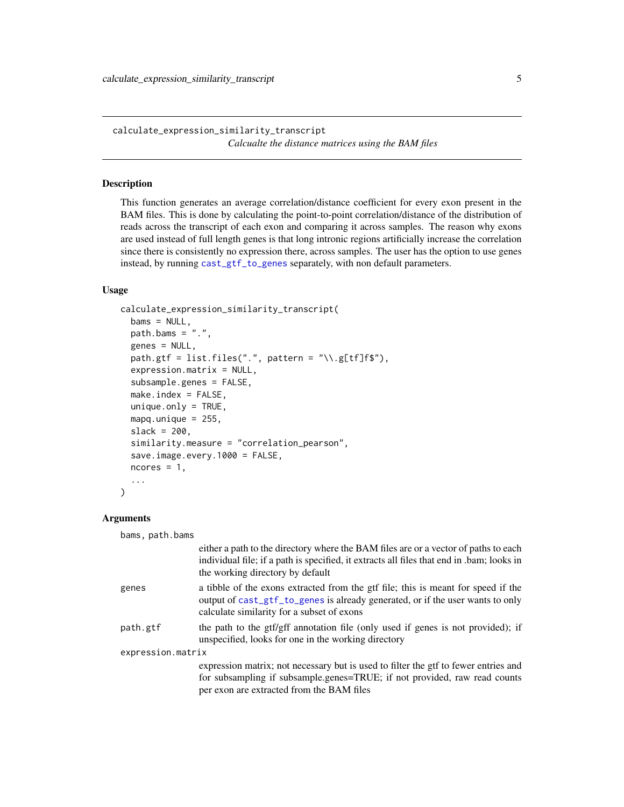<span id="page-4-1"></span><span id="page-4-0"></span>calculate\_expression\_similarity\_transcript *Calcualte the distance matrices using the BAM files*

#### Description

This function generates an average correlation/distance coefficient for every exon present in the BAM files. This is done by calculating the point-to-point correlation/distance of the distribution of reads across the transcript of each exon and comparing it across samples. The reason why exons are used instead of full length genes is that long intronic regions artificially increase the correlation since there is consistently no expression there, across samples. The user has the option to use genes instead, by running [cast\\_gtf\\_to\\_genes](#page-9-1) separately, with non default parameters.

#### Usage

```
calculate_expression_similarity_transcript(
  bams = NULL,path.bams = ".'',genes = NULL,
  path.gtf = list.files(".", pattern = "\\.g[tf]f$"),
  expression.matrix = NULL,
  subsample.genes = FALSE,
  make.index = FALSE,
  unique.outy = TRUE,mapq.unique = 255,
  slack = 200,similarity.measure = "correlation_pearson",
  save.image.every.1000 = FALSE,
  ncores = 1,
  ...
\lambda
```
#### Arguments

bams, path.bams

|                   | either a path to the directory where the BAM files are or a vector of paths to each<br>individual file; if a path is specified, it extracts all files that end in .bam; looks in<br>the working directory by default |
|-------------------|----------------------------------------------------------------------------------------------------------------------------------------------------------------------------------------------------------------------|
| genes             | a tibble of the exons extracted from the gtf file; this is meant for speed if the<br>output of cast_gtf_to_genes is already generated, or if the user wants to only<br>calculate similarity for a subset of exons    |
| path.gtf          | the path to the gtf/gff annotation file (only used if genes is not provided); if<br>unspecified, looks for one in the working directory                                                                              |
| expression.matrix |                                                                                                                                                                                                                      |
|                   | expression matrix; not necessary but is used to filter the gtf to fewer entries and                                                                                                                                  |
|                   | for subsampling if subsample.genes=TRUE; if not provided, raw read counts                                                                                                                                            |
|                   | per exon are extracted from the BAM files                                                                                                                                                                            |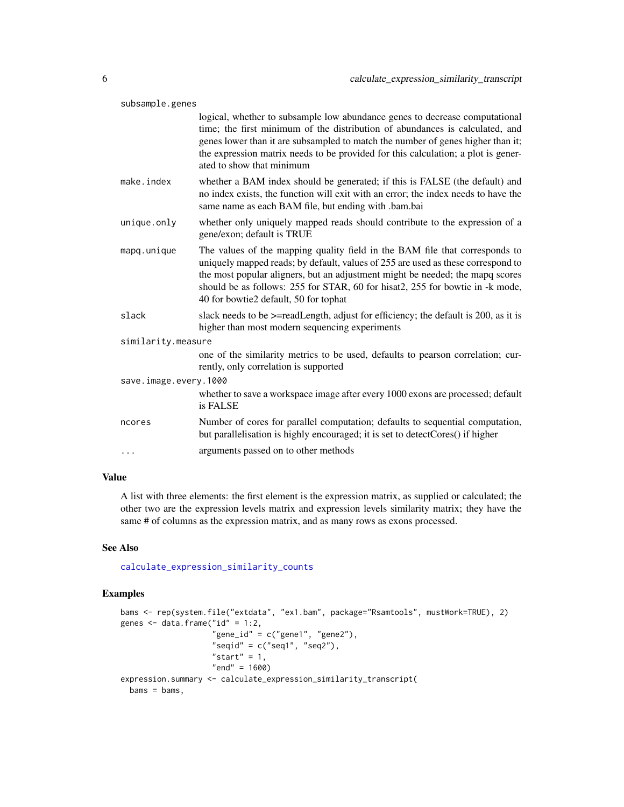<span id="page-5-0"></span>

| subsample.genes       |                                                                                                                                                                                                                                                                                                                                                                            |  |
|-----------------------|----------------------------------------------------------------------------------------------------------------------------------------------------------------------------------------------------------------------------------------------------------------------------------------------------------------------------------------------------------------------------|--|
|                       | logical, whether to subsample low abundance genes to decrease computational<br>time; the first minimum of the distribution of abundances is calculated, and<br>genes lower than it are subsampled to match the number of genes higher than it;<br>the expression matrix needs to be provided for this calculation; a plot is gener-<br>ated to show that minimum           |  |
| make.index            | whether a BAM index should be generated; if this is FALSE (the default) and<br>no index exists, the function will exit with an error; the index needs to have the<br>same name as each BAM file, but ending with .bam.bai                                                                                                                                                  |  |
| unique.only           | whether only uniquely mapped reads should contribute to the expression of a<br>gene/exon; default is TRUE                                                                                                                                                                                                                                                                  |  |
| mapq.unique           | The values of the mapping quality field in the BAM file that corresponds to<br>uniquely mapped reads; by default, values of 255 are used as these correspond to<br>the most popular aligners, but an adjustment might be needed; the mapq scores<br>should be as follows: 255 for STAR, 60 for hisat2, 255 for bowtie in -k mode,<br>40 for bowtie2 default, 50 for tophat |  |
| slack                 | slack needs to be >=readLength, adjust for efficiency; the default is 200, as it is<br>higher than most modern sequencing experiments                                                                                                                                                                                                                                      |  |
| similarity.measure    |                                                                                                                                                                                                                                                                                                                                                                            |  |
|                       | one of the similarity metrics to be used, defaults to pearson correlation; cur-<br>rently, only correlation is supported                                                                                                                                                                                                                                                   |  |
| save.image.every.1000 |                                                                                                                                                                                                                                                                                                                                                                            |  |
|                       | whether to save a workspace image after every 1000 exons are processed; default<br>is FALSE                                                                                                                                                                                                                                                                                |  |
| ncores                | Number of cores for parallel computation; defaults to sequential computation,<br>but parallelisation is highly encouraged; it is set to detectCores() if higher                                                                                                                                                                                                            |  |
| $\cdots$              | arguments passed on to other methods                                                                                                                                                                                                                                                                                                                                       |  |

A list with three elements: the first element is the expression matrix, as supplied or calculated; the other two are the expression levels matrix and expression levels similarity matrix; they have the same # of columns as the expression matrix, and as many rows as exons processed.

#### See Also

[calculate\\_expression\\_similarity\\_counts](#page-2-1)

```
bams <- rep(system.file("extdata", "ex1.bam", package="Rsamtools", mustWork=TRUE), 2)
genes \leq data.frame("id" = 1:2,
                    "gene_id" = c("gene1", "gene2"),
                    "seqid" = c("seq1", "seq2"),
                    "start" = 1,"end" = 1600)
expression.summary <- calculate_expression_similarity_transcript(
 bams = bams,
```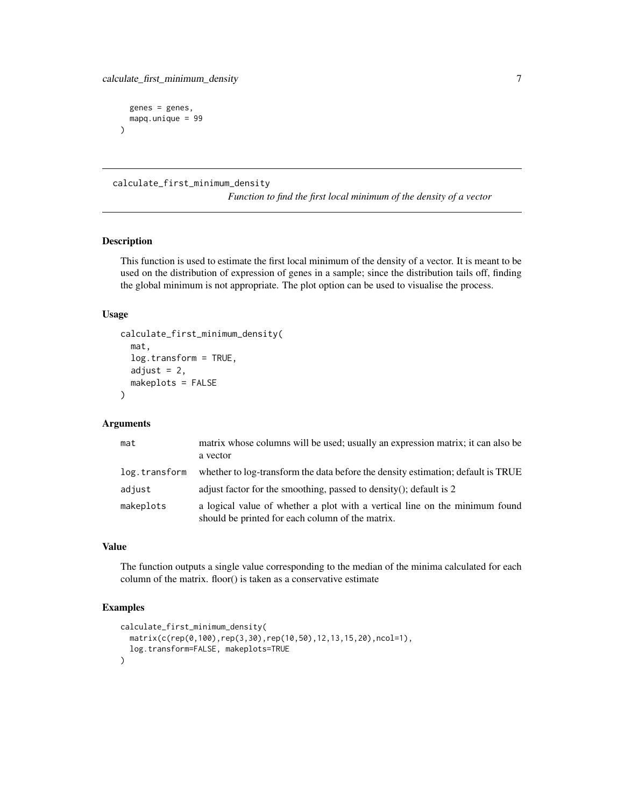```
genes = genes,
 mapq.unique = 99
)
```
#### calculate\_first\_minimum\_density

*Function to find the first local minimum of the density of a vector*

#### Description

This function is used to estimate the first local minimum of the density of a vector. It is meant to be used on the distribution of expression of genes in a sample; since the distribution tails off, finding the global minimum is not appropriate. The plot option can be used to visualise the process.

#### Usage

```
calculate_first_minimum_density(
  mat,
  log.transform = TRUE,
  adjust = 2,
 makeplots = FALSE
)
```
#### Arguments

| mat           | matrix whose columns will be used; usually an expression matrix; it can also be<br>a vector                                     |
|---------------|---------------------------------------------------------------------------------------------------------------------------------|
| log.transform | whether to log-transform the data before the density estimation; default is TRUE                                                |
| adjust        | adjust factor for the smoothing, passed to density(); default is 2                                                              |
| makeplots     | a logical value of whether a plot with a vertical line on the minimum found<br>should be printed for each column of the matrix. |

#### Value

The function outputs a single value corresponding to the median of the minima calculated for each column of the matrix. floor() is taken as a conservative estimate

```
calculate_first_minimum_density(
  matrix(c(rep(0,100),rep(3,30),rep(10,50),12,13,15,20),ncol=1),
  log.transform=FALSE, makeplots=TRUE
)
```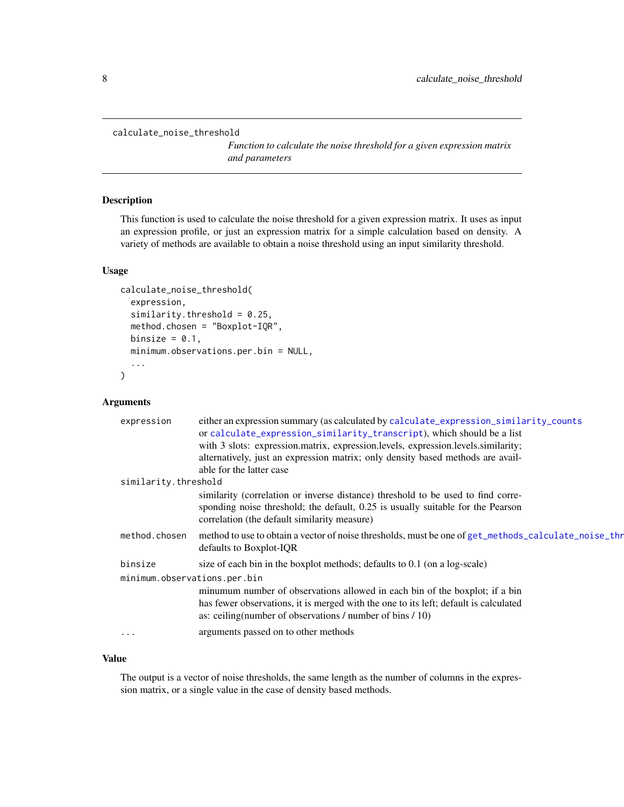<span id="page-7-1"></span><span id="page-7-0"></span>calculate\_noise\_threshold

*Function to calculate the noise threshold for a given expression matrix and parameters*

#### Description

This function is used to calculate the noise threshold for a given expression matrix. It uses as input an expression profile, or just an expression matrix for a simple calculation based on density. A variety of methods are available to obtain a noise threshold using an input similarity threshold.

#### Usage

```
calculate_noise_threshold(
  expression,
  similarity.threshold = 0.25,
  method.chosen = "Boxplot-IQR",
 binsize = 0.1,
  minimum.observations.per.bin = NULL,
  ...
\mathcal{E}
```
#### Arguments

| expression                   | either an expression summary (as calculated by calculate_expression_similarity_counts<br>or calculate_expression_similarity_transcript), which should be a list                                                                   |
|------------------------------|-----------------------------------------------------------------------------------------------------------------------------------------------------------------------------------------------------------------------------------|
|                              | with 3 slots: expression.matrix, expression.levels, expression.levels.similarity;                                                                                                                                                 |
|                              | alternatively, just an expression matrix; only density based methods are avail-                                                                                                                                                   |
|                              | able for the latter case                                                                                                                                                                                                          |
| similarity.threshold         |                                                                                                                                                                                                                                   |
|                              | similarity (correlation or inverse distance) threshold to be used to find corre-<br>sponding noise threshold; the default, 0.25 is usually suitable for the Pearson<br>correlation (the default similarity measure)               |
| method.chosen                | method to use to obtain a vector of noise thresholds, must be one of get_methods_calculate_noise_thr<br>defaults to Boxplot-IQR                                                                                                   |
| binsize                      | size of each bin in the boxplot methods; defaults to 0.1 (on a log-scale)                                                                                                                                                         |
| minimum.observations.per.bin |                                                                                                                                                                                                                                   |
|                              | minumum number of observations allowed in each bin of the boxplot; if a bin<br>has fewer observations, it is merged with the one to its left; default is calculated<br>as: ceiling (number of observations / number of bins / 10) |
| $\cdots$                     | arguments passed on to other methods                                                                                                                                                                                              |

#### Value

The output is a vector of noise thresholds, the same length as the number of columns in the expression matrix, or a single value in the case of density based methods.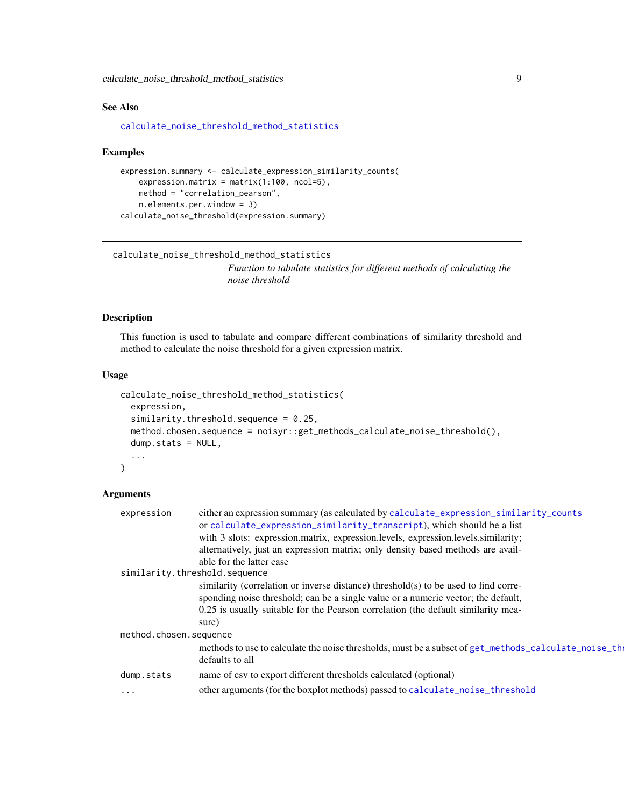<span id="page-8-0"></span>calculate\_noise\_threshold\_method\_statistics 9

#### See Also

[calculate\\_noise\\_threshold\\_method\\_statistics](#page-8-1)

#### Examples

```
expression.summary <- calculate_expression_similarity_counts(
   expression.matrix = matrix(1:100, ncol=5),
   method = "correlation_pearson",
   n.elements.per.window = 3)
calculate_noise_threshold(expression.summary)
```

```
calculate_noise_threshold_method_statistics
                          Function to tabulate statistics for different methods of calculating the
```
# *noise threshold*

#### Description

This function is used to tabulate and compare different combinations of similarity threshold and method to calculate the noise threshold for a given expression matrix.

#### Usage

```
calculate_noise_threshold_method_statistics(
  expression,
  similarity.threshold.sequence = 0.25,
  method.chosen.sequence = noisyr::get_methods_calculate_noise_threshold(),
  dump.stats = NULL,
  ...
)
```
#### Arguments

|                        | expression                    | either an expression summary (as calculated by calculate_expression_similarity_counts                                   |
|------------------------|-------------------------------|-------------------------------------------------------------------------------------------------------------------------|
|                        |                               | or calculate_expression_similarity_transcript), which should be a list                                                  |
|                        |                               | with 3 slots: expression.matrix, expression.levels, expression.levels.similarity;                                       |
|                        |                               | alternatively, just an expression matrix; only density based methods are avail-                                         |
|                        |                               | able for the latter case                                                                                                |
|                        | similarity.threshold.sequence |                                                                                                                         |
|                        |                               | similarity (correlation or inverse distance) threshold(s) to be used to find corre-                                     |
|                        |                               | sponding noise threshold; can be a single value or a numeric vector; the default,                                       |
|                        |                               | 0.25 is usually suitable for the Pearson correlation (the default similarity mea-                                       |
|                        |                               | sure)                                                                                                                   |
| method.chosen.sequence |                               |                                                                                                                         |
|                        |                               | methods to use to calculate the noise thresholds, must be a subset of get_methods_calculate_noise_th<br>defaults to all |
|                        | dump.stats                    | name of csv to export different thresholds calculated (optional)                                                        |
|                        | $\cdots$                      | other arguments (for the boxplot methods) passed to calculate_noise_threshold                                           |
|                        |                               |                                                                                                                         |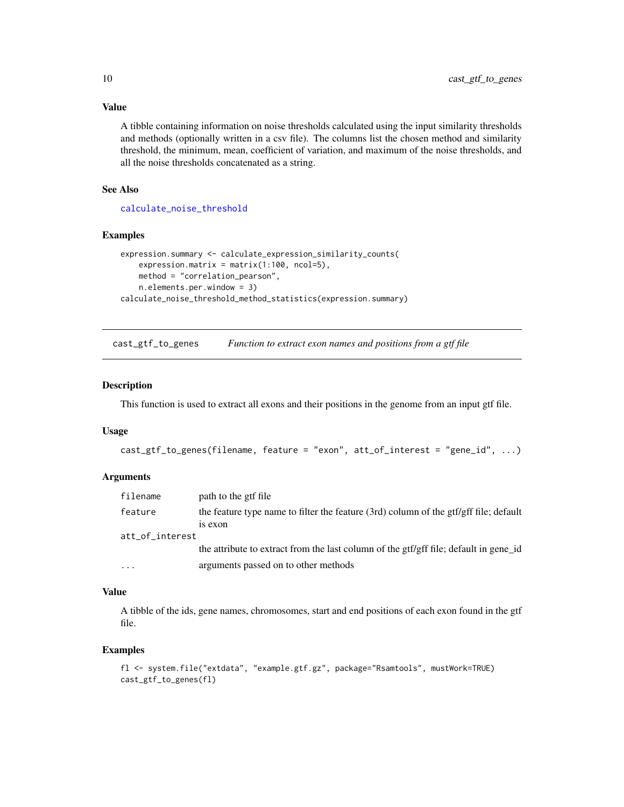A tibble containing information on noise thresholds calculated using the input similarity thresholds and methods (optionally written in a csv file). The columns list the chosen method and similarity threshold, the minimum, mean, coefficient of variation, and maximum of the noise thresholds, and all the noise thresholds concatenated as a string.

#### See Also

[calculate\\_noise\\_threshold](#page-7-1)

#### Examples

```
expression.summary <- calculate_expression_similarity_counts(
   expression.matrix = matrix(1:100, ncol=5),
   method = "correlation_pearson",
   n.elements.per.window = 3)
calculate_noise_threshold_method_statistics(expression.summary)
```
<span id="page-9-1"></span>cast\_gtf\_to\_genes *Function to extract exon names and positions from a gtf file*

#### Description

This function is used to extract all exons and their positions in the genome from an input gtf file.

#### Usage

```
cast_gtf_to_genes(filename, feature = "exon", att_of_interest = "gene_id", ...)
```
#### Arguments

| filename        | path to the gtf file                                                                             |
|-----------------|--------------------------------------------------------------------------------------------------|
| feature         | the feature type name to filter the feature (3rd) column of the gtf/gff file; default<br>is exon |
| att_of_interest |                                                                                                  |
|                 | the attribute to extract from the last column of the gtf/gff file; default in gene_id            |
| $\cdots$        | arguments passed on to other methods                                                             |

#### Value

A tibble of the ids, gene names, chromosomes, start and end positions of each exon found in the gtf file.

```
fl <- system.file("extdata", "example.gtf.gz", package="Rsamtools", mustWork=TRUE)
cast_gtf_to_genes(fl)
```
<span id="page-9-0"></span>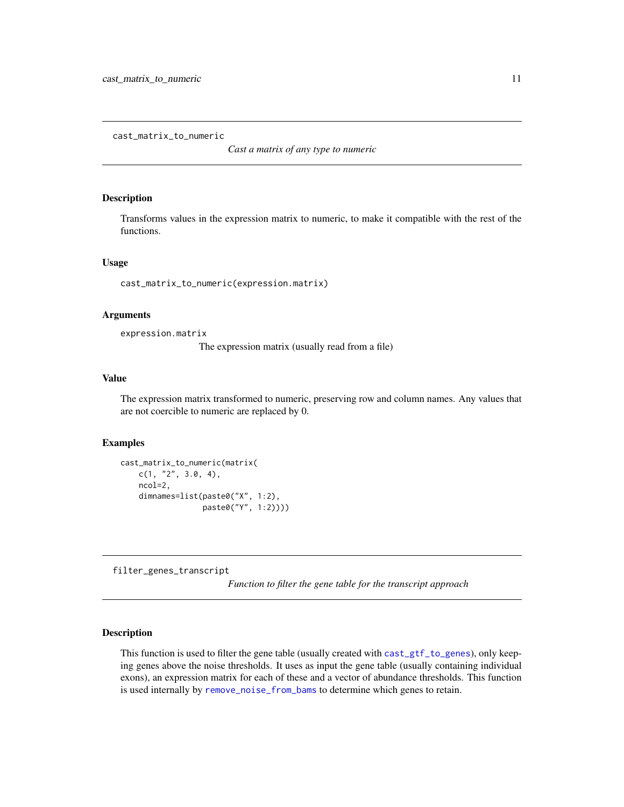<span id="page-10-0"></span>cast\_matrix\_to\_numeric

*Cast a matrix of any type to numeric*

#### Description

Transforms values in the expression matrix to numeric, to make it compatible with the rest of the functions.

#### Usage

cast\_matrix\_to\_numeric(expression.matrix)

#### Arguments

expression.matrix

The expression matrix (usually read from a file)

#### Value

The expression matrix transformed to numeric, preserving row and column names. Any values that are not coercible to numeric are replaced by 0.

#### Examples

```
cast_matrix_to_numeric(matrix(
   c(1, '2'', 3.0, 4),ncol=2,
   dimnames=list(paste0("X", 1:2),
                  paste0("Y", 1:2))))
```
filter\_genes\_transcript

*Function to filter the gene table for the transcript approach*

#### Description

This function is used to filter the gene table (usually created with [cast\\_gtf\\_to\\_genes](#page-9-1)), only keeping genes above the noise thresholds. It uses as input the gene table (usually containing individual exons), an expression matrix for each of these and a vector of abundance thresholds. This function is used internally by [remove\\_noise\\_from\\_bams](#page-19-1) to determine which genes to retain.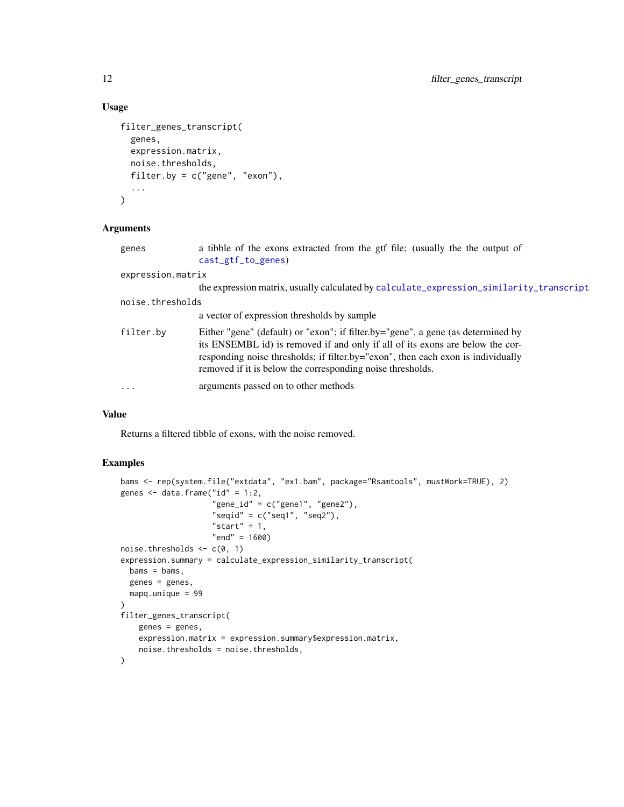#### Usage

```
filter_genes_transcript(
  genes,
  expression.matrix,
 noise.thresholds,
 filter.by = c("gene", "exon"),
  ...
)
```
#### Arguments

| genes             | a tibble of the exons extracted from the gtf file; (usually the the output of                                                                                                                                                                                                                                       |  |
|-------------------|---------------------------------------------------------------------------------------------------------------------------------------------------------------------------------------------------------------------------------------------------------------------------------------------------------------------|--|
|                   | cast_gtf_to_genes)                                                                                                                                                                                                                                                                                                  |  |
| expression.matrix |                                                                                                                                                                                                                                                                                                                     |  |
|                   | the expression matrix, usually calculated by calculate_expression_similarity_transcript                                                                                                                                                                                                                             |  |
| noise.thresholds  |                                                                                                                                                                                                                                                                                                                     |  |
|                   | a vector of expression thresholds by sample                                                                                                                                                                                                                                                                         |  |
| filter.by         | Either "gene" (default) or "exon"; if filter.by="gene", a gene (as determined by<br>its ENSEMBL id) is removed if and only if all of its exons are below the cor-<br>responding noise thresholds; if filter.by="exon", then each exon is individually<br>removed if it is below the corresponding noise thresholds. |  |
| $\ddotsc$         | arguments passed on to other methods                                                                                                                                                                                                                                                                                |  |

#### Value

Returns a filtered tibble of exons, with the noise removed.

```
bams <- rep(system.file("extdata", "ex1.bam", package="Rsamtools", mustWork=TRUE), 2)
genes \leq data.frame("id" = 1:2,
                    "gene_id" = c("gene1", "gene2"),"seqid" = c("seq1", "seq2"),
                    "start" = 1,"end" = 1600)
noise.thresholds \leq c(0, 1)expression.summary = calculate_expression_similarity_transcript(
 bams = bams,genes = genes,
  mapq.unique = 99
)
filter_genes_transcript(
   genes = genes,
   expression.matrix = expression.summary$expression.matrix,
   noise.thresholds = noise.thresholds,
\mathcal{L}
```
<span id="page-11-0"></span>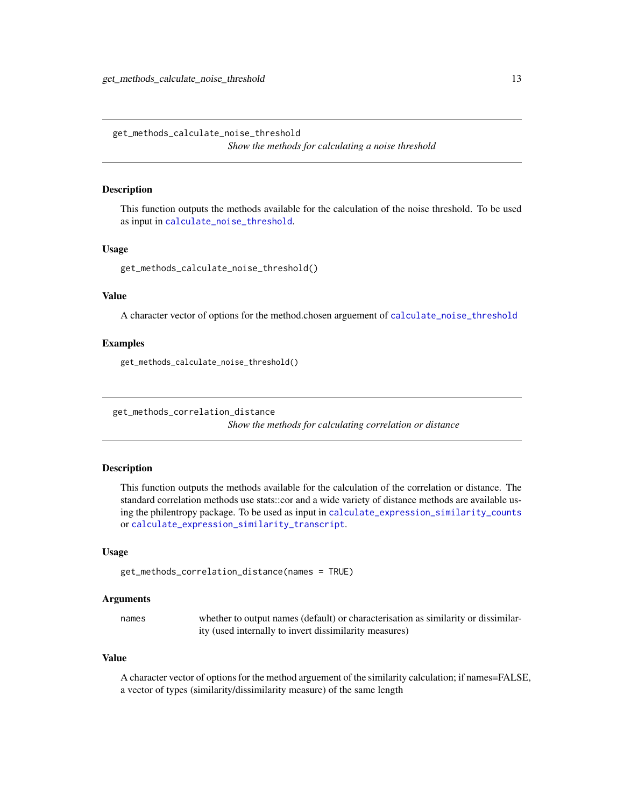<span id="page-12-2"></span><span id="page-12-0"></span>get\_methods\_calculate\_noise\_threshold *Show the methods for calculating a noise threshold*

#### Description

This function outputs the methods available for the calculation of the noise threshold. To be used as input in [calculate\\_noise\\_threshold](#page-7-1).

#### Usage

get\_methods\_calculate\_noise\_threshold()

#### Value

A character vector of options for the method.chosen arguement of [calculate\\_noise\\_threshold](#page-7-1)

#### Examples

get\_methods\_calculate\_noise\_threshold()

<span id="page-12-1"></span>get\_methods\_correlation\_distance

*Show the methods for calculating correlation or distance*

#### Description

This function outputs the methods available for the calculation of the correlation or distance. The standard correlation methods use stats::cor and a wide variety of distance methods are available using the philentropy package. To be used as input in [calculate\\_expression\\_similarity\\_counts](#page-2-1) or [calculate\\_expression\\_similarity\\_transcript](#page-4-1).

#### Usage

get\_methods\_correlation\_distance(names = TRUE)

#### Arguments

names whether to output names (default) or characterisation as similarity or dissimilarity (used internally to invert dissimilarity measures)

#### Value

A character vector of options for the method arguement of the similarity calculation; if names=FALSE, a vector of types (similarity/dissimilarity measure) of the same length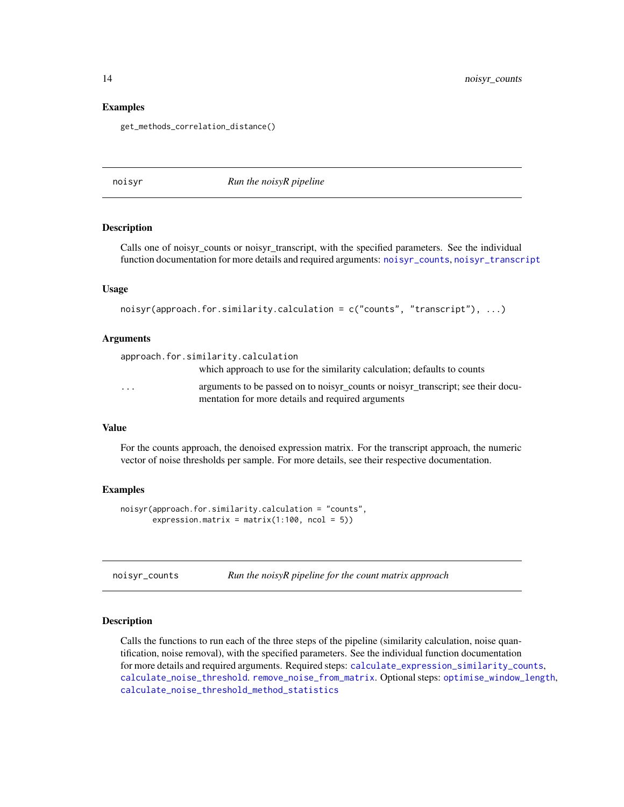#### Examples

get\_methods\_correlation\_distance()

<span id="page-13-2"></span>noisyr *Run the noisyR pipeline*

#### Description

Calls one of noisyr\_counts or noisyr\_transcript, with the specified parameters. See the individual function documentation for more details and required arguments: [noisyr\\_counts](#page-13-1), [noisyr\\_transcript](#page-15-1)

#### Usage

```
noisyr(approach.for.similarity.calculation = c("counts", "transcript"), ...)
```
#### Arguments

| approach.for.similarity.calculation |                                                                                                                                       |
|-------------------------------------|---------------------------------------------------------------------------------------------------------------------------------------|
|                                     | which approach to use for the similarity calculation; defaults to counts                                                              |
| $\cdot$                             | arguments to be passed on to noisyr_counts or noisyr_transcript; see their docu-<br>mentation for more details and required arguments |

#### Value

For the counts approach, the denoised expression matrix. For the transcript approach, the numeric vector of noise thresholds per sample. For more details, see their respective documentation.

#### Examples

```
noisyr(approach.for.similarity.calculation = "counts",
      expression.matrix = matrix(1:100, ncol = 5))
```
<span id="page-13-1"></span>

| noisyr_counts |  |  | Run the noisyR pipeline for the count matrix approach |
|---------------|--|--|-------------------------------------------------------|
|---------------|--|--|-------------------------------------------------------|

#### Description

Calls the functions to run each of the three steps of the pipeline (similarity calculation, noise quantification, noise removal), with the specified parameters. See the individual function documentation for more details and required arguments. Required steps: [calculate\\_expression\\_similarity\\_counts](#page-2-1), [calculate\\_noise\\_threshold](#page-7-1). [remove\\_noise\\_from\\_matrix](#page-21-1). Optional steps: [optimise\\_window\\_length](#page-16-1), [calculate\\_noise\\_threshold\\_method\\_statistics](#page-8-1)

<span id="page-13-0"></span>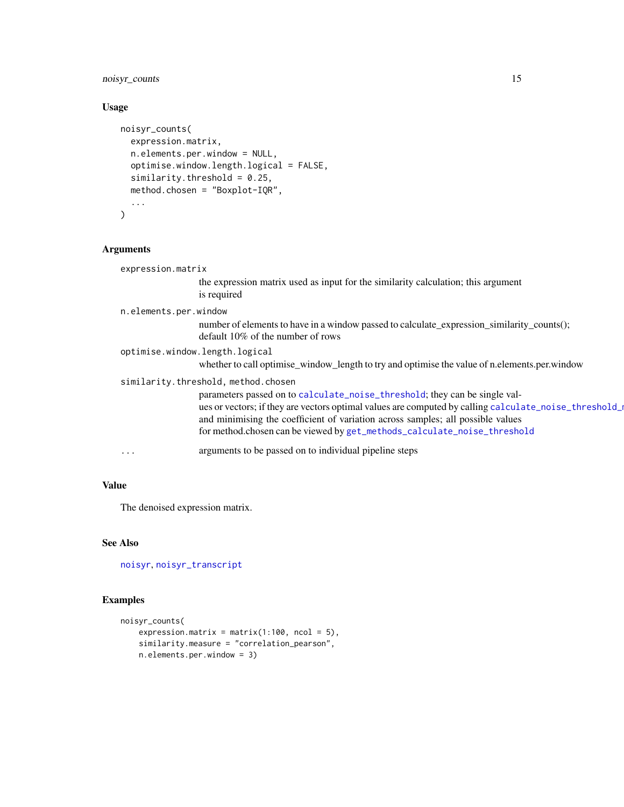#### <span id="page-14-0"></span>noisyr\_counts 15

#### Usage

```
noisyr_counts(
  expression.matrix,
  n.elements.per.window = NULL,
  optimise.window.length.logical = FALSE,
  similarity.threshold = 0.25,
  method.chosen = "Boxplot-IQR",
  ...
\mathcal{L}
```
#### Arguments

| expression.matrix                                                                                                                                                                                                                                                                                                                                  |
|----------------------------------------------------------------------------------------------------------------------------------------------------------------------------------------------------------------------------------------------------------------------------------------------------------------------------------------------------|
| the expression matrix used as input for the similarity calculation; this argument<br>is required                                                                                                                                                                                                                                                   |
| n.elements.per.window                                                                                                                                                                                                                                                                                                                              |
| number of elements to have in a window passed to calculate_expression_similarity_counts();<br>default 10% of the number of rows                                                                                                                                                                                                                    |
| optimise.window.length.logical                                                                                                                                                                                                                                                                                                                     |
| whether to call optimise_window_length to try and optimise the value of n.elements.per.window                                                                                                                                                                                                                                                      |
| similarity.threshold, method.chosen                                                                                                                                                                                                                                                                                                                |
| parameters passed on to calculate_noise_threshold; they can be single val-<br>ues or vectors; if they are vectors optimal values are computed by calling calculate_noise_threshold_<br>and minimising the coefficient of variation across samples; all possible values<br>for method.chosen can be viewed by get_methods_calculate_noise_threshold |
| arguments to be passed on to individual pipeline steps<br>$\cdots$                                                                                                                                                                                                                                                                                 |
|                                                                                                                                                                                                                                                                                                                                                    |

#### Value

The denoised expression matrix.

#### See Also

[noisyr](#page-13-2), [noisyr\\_transcript](#page-15-1)

```
noisyr_counts(
   expression.matrix = matrix(1:100, ncol = 5),
   similarity.measure = "correlation_pearson",
   n.elements.per.window = 3)
```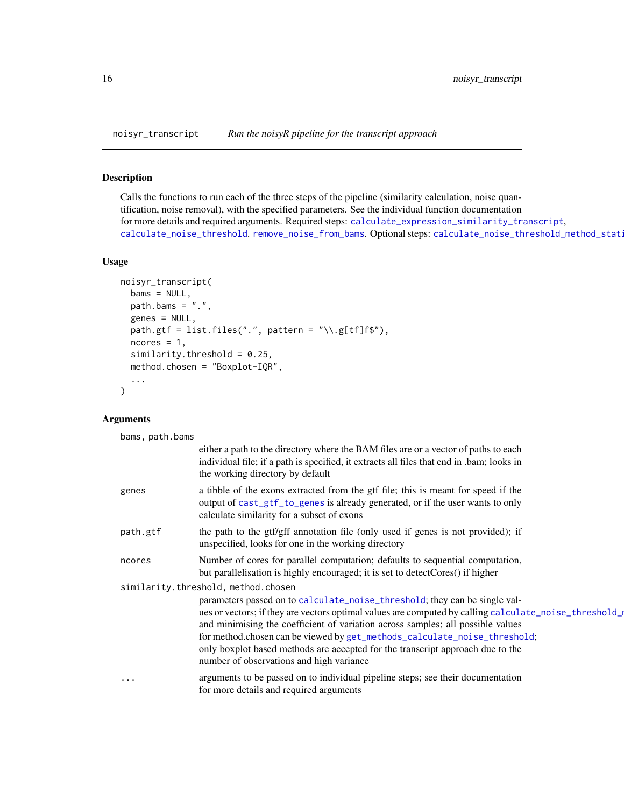<span id="page-15-1"></span><span id="page-15-0"></span>

#### Description

Calls the functions to run each of the three steps of the pipeline (similarity calculation, noise quantification, noise removal), with the specified parameters. See the individual function documentation for more details and required arguments. Required steps: [calculate\\_expression\\_similarity\\_transcript](#page-4-1), [calculate\\_noise\\_threshold](#page-7-1). [remove\\_noise\\_from\\_bams](#page-19-1). Optional steps: calculate\_noise\_threshold\_method\_stat:

#### Usage

```
noisyr_transcript(
 bams = NULL,path.bams = "."genes = NULL,
 path.gtf = list.files(".", pattern = "\\.g[tf]f$"),
 ncores = 1,
  similarity.threshold = 0.25,
 method.chosen = "Boxplot-IQR",
  ...
)
```
#### Arguments

bams, path.bams

|          | either a path to the directory where the BAM files are or a vector of paths to each<br>individual file; if a path is specified, it extracts all files that end in .bam; looks in<br>the working directory by default                                                                                                                                                                                                                                                                                                     |
|----------|--------------------------------------------------------------------------------------------------------------------------------------------------------------------------------------------------------------------------------------------------------------------------------------------------------------------------------------------------------------------------------------------------------------------------------------------------------------------------------------------------------------------------|
| genes    | a tibble of the exons extracted from the gtf file; this is meant for speed if the<br>output of cast_gtf_to_genes is already generated, or if the user wants to only<br>calculate similarity for a subset of exons                                                                                                                                                                                                                                                                                                        |
| path.gtf | the path to the gtf/gff annotation file (only used if genes is not provided); if<br>unspecified, looks for one in the working directory                                                                                                                                                                                                                                                                                                                                                                                  |
| ncores   | Number of cores for parallel computation; defaults to sequential computation,<br>but parallelisation is highly encouraged; it is set to detect Cores() if higher                                                                                                                                                                                                                                                                                                                                                         |
|          | similarity.threshold, method.chosen<br>parameters passed on to calculate_noise_threshold; they can be single val-<br>ues or vectors; if they are vectors optimal values are computed by calling calculate_noise_threshold_<br>and minimising the coefficient of variation across samples; all possible values<br>for method.chosen can be viewed by get_methods_calculate_noise_threshold;<br>only boxplot based methods are accepted for the transcript approach due to the<br>number of observations and high variance |
| $\cdots$ | arguments to be passed on to individual pipeline steps; see their documentation<br>for more details and required arguments                                                                                                                                                                                                                                                                                                                                                                                               |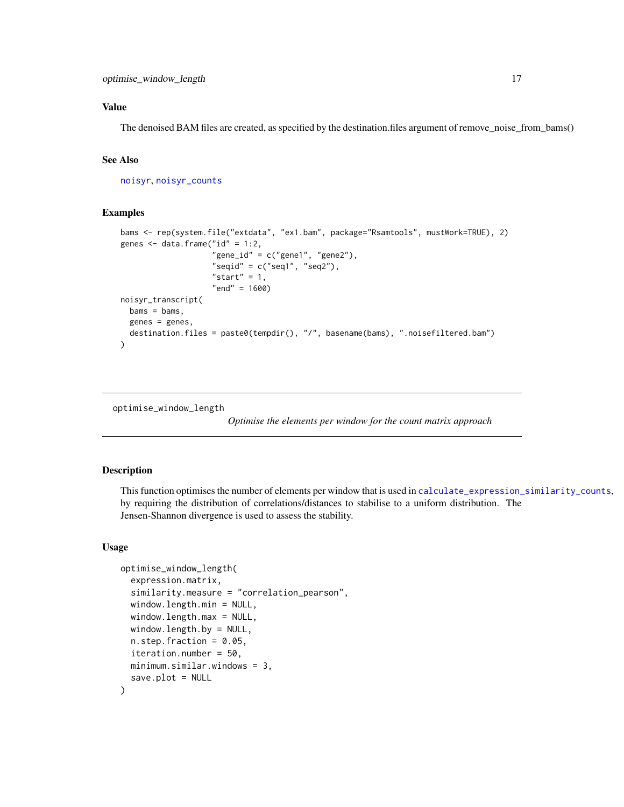<span id="page-16-0"></span>The denoised BAM files are created, as specified by the destination.files argument of remove\_noise\_from\_bams()

#### See Also

[noisyr](#page-13-2), [noisyr\\_counts](#page-13-1)

#### Examples

```
bams <- rep(system.file("extdata", "ex1.bam", package="Rsamtools", mustWork=TRUE), 2)
genes \leq data.frame("id" = 1:2,
                     "gene_id" = c("gene1", "gene2"),
                     "seqid" = c("seq1", "seq2"),
                     "start" = 1,
                     "end" = 1600)
noisyr_transcript(
  bams = bams,genes = genes,
  destination.files = paste0(tempdir(), "/", basename(bams), ".noisefiltered.bam")
\lambda
```
<span id="page-16-1"></span>optimise\_window\_length

*Optimise the elements per window for the count matrix approach*

#### Description

This function optimises the number of elements per window that is used in [calculate\\_expression\\_similarity\\_counts](#page-2-1), by requiring the distribution of correlations/distances to stabilise to a uniform distribution. The Jensen-Shannon divergence is used to assess the stability.

#### Usage

```
optimise_window_length(
  expression.matrix,
  similarity.measure = "correlation_pearson",
  window.length.min = NULL,
  window.length.max = NULL,
  window.length.by = NULL,
  n. step. fraction = 0.05,iteration.number = 50,
  minimum.similar.windows = 3,
  save.plot = NULL
)
```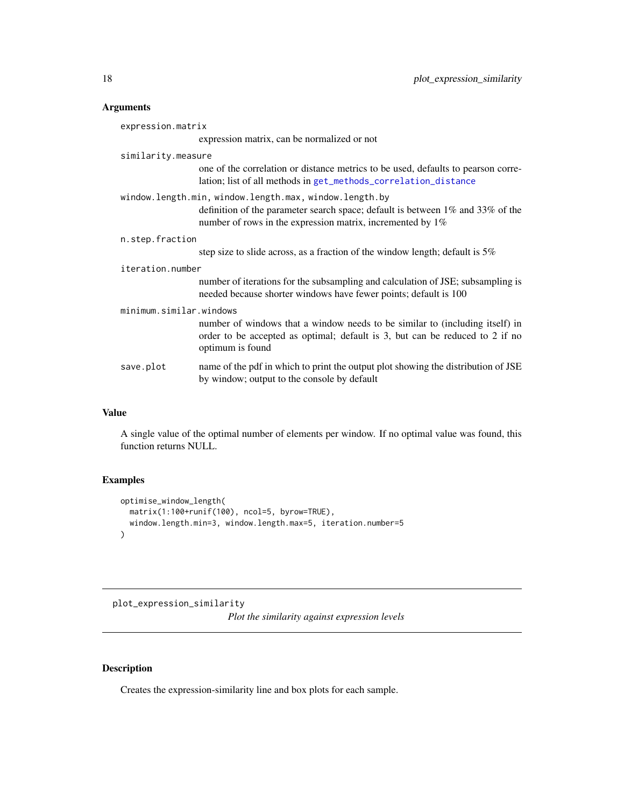#### <span id="page-17-0"></span>Arguments

| expression.matrix                                      |                                                                                                                                                                                  |  |
|--------------------------------------------------------|----------------------------------------------------------------------------------------------------------------------------------------------------------------------------------|--|
|                                                        | expression matrix, can be normalized or not                                                                                                                                      |  |
| similarity.measure                                     |                                                                                                                                                                                  |  |
|                                                        | one of the correlation or distance metrics to be used, defaults to pearson corre-<br>lation; list of all methods in get_methods_correlation_distance                             |  |
| window.length.min, window.length.max, window.length.by |                                                                                                                                                                                  |  |
|                                                        | definition of the parameter search space; default is between $1\%$ and $33\%$ of the<br>number of rows in the expression matrix, incremented by $1\%$                            |  |
| n.step.fraction                                        |                                                                                                                                                                                  |  |
|                                                        | step size to slide across, as a fraction of the window length; default is $5\%$                                                                                                  |  |
| iteration.number                                       |                                                                                                                                                                                  |  |
|                                                        | number of iterations for the subsampling and calculation of JSE; subsampling is<br>needed because shorter windows have fewer points; default is 100                              |  |
| minimum.similar.windows                                |                                                                                                                                                                                  |  |
|                                                        | number of windows that a window needs to be similar to (including itself) in<br>order to be accepted as optimal; default is 3, but can be reduced to 2 if no<br>optimum is found |  |
| save.plot                                              | name of the pdf in which to print the output plot showing the distribution of JSE<br>by window; output to the console by default                                                 |  |

#### Value

A single value of the optimal number of elements per window. If no optimal value was found, this function returns NULL.

#### Examples

```
optimise_window_length(
  matrix(1:100+runif(100), ncol=5, byrow=TRUE),
  window.length.min=3, window.length.max=5, iteration.number=5
)
```
plot\_expression\_similarity *Plot the similarity against expression levels*

#### Description

Creates the expression-similarity line and box plots for each sample.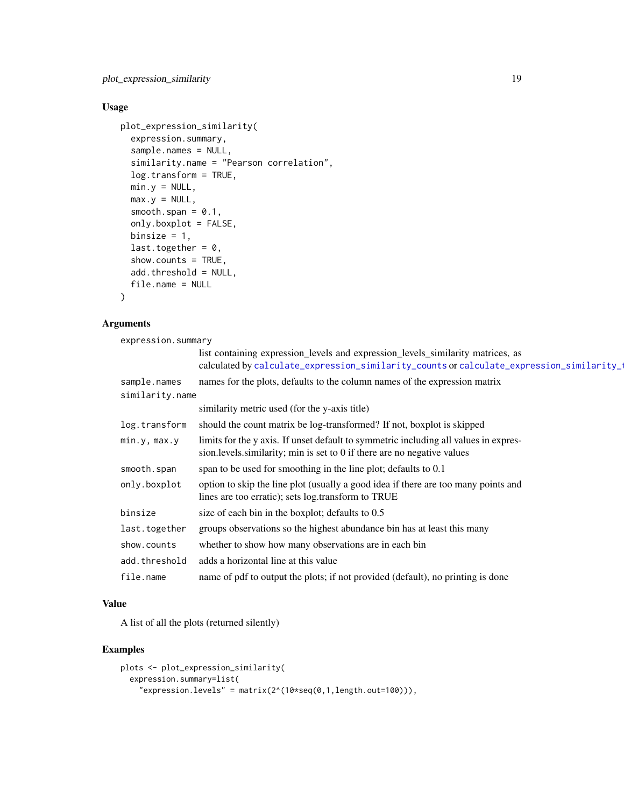#### <span id="page-18-0"></span>Usage

```
plot_expression_similarity(
  expression.summary,
  sample.names = NULL,
  similarity.name = "Pearson correlation",
  log.transform = TRUE,
 min.y = NULL,max.y = NULL,smooth.span = 0.1,
  only.boxplot = FALSE,
 binsize = 1,
  last.together = 0,
  show.counts = TRUE,
  add.threshold = NULL,
  file.name = NULL
)
```
#### Arguments

expression.summary

|                 | list containing expression_levels and expression_levels_similarity matrices, as<br>calculated by calculate_expression_similarity_counts or calculate_expression_similarity_ |
|-----------------|-----------------------------------------------------------------------------------------------------------------------------------------------------------------------------|
| sample.names    | names for the plots, defaults to the column names of the expression matrix                                                                                                  |
| similarity.name |                                                                                                                                                                             |
|                 | similarity metric used (for the y-axis title)                                                                                                                               |
| log.transform   | should the count matrix be log-transformed? If not, boxplot is skipped                                                                                                      |
| min.y, max.y    | limits for the y axis. If unset default to symmetric including all values in expres-<br>sion. levels. similarity; min is set to 0 if there are no negative values           |
| smooth.span     | span to be used for smoothing in the line plot; defaults to 0.1                                                                                                             |
| only.boxplot    | option to skip the line plot (usually a good idea if there are too many points and<br>lines are too erratic); sets log.transform to TRUE                                    |
| binsize         | size of each bin in the boxplot; defaults to 0.5                                                                                                                            |
| last.together   | groups observations so the highest abundance bin has at least this many                                                                                                     |
| show.counts     | whether to show how many observations are in each bin                                                                                                                       |
| add.threshold   | adds a horizontal line at this value                                                                                                                                        |
| file.name       | name of pdf to output the plots; if not provided (default), no printing is done                                                                                             |

#### Value

A list of all the plots (returned silently)

```
plots <- plot_expression_similarity(
  expression.summary=list(
    "expression.levels" = matrix(2^(10*seq(0,1,length.out=100))),
```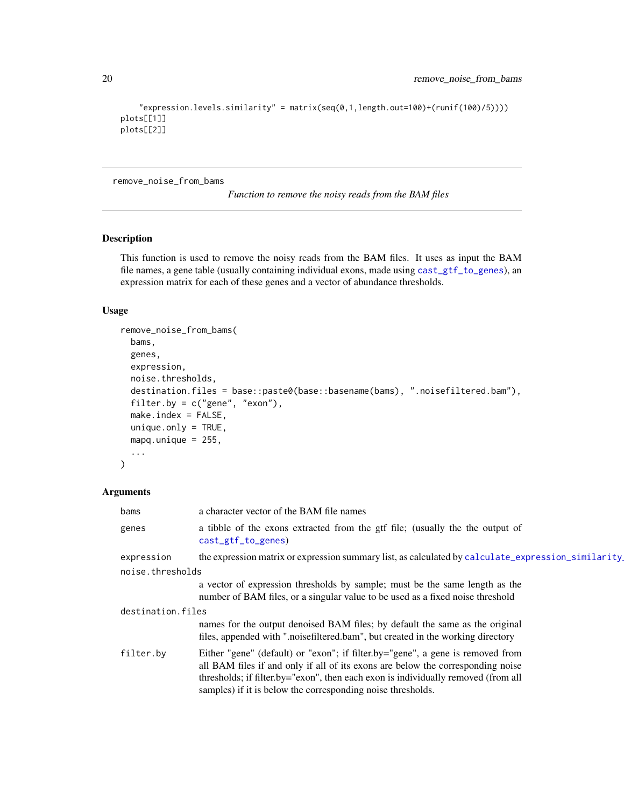```
"expression.levels.similarity" = matrix(seq(0,1,length.out=100)+(runif(100)/5))))
plots[[1]]
plots[[2]]
```
<span id="page-19-1"></span>remove\_noise\_from\_bams

*Function to remove the noisy reads from the BAM files*

#### Description

This function is used to remove the noisy reads from the BAM files. It uses as input the BAM file names, a gene table (usually containing individual exons, made using [cast\\_gtf\\_to\\_genes](#page-9-1)), an expression matrix for each of these genes and a vector of abundance thresholds.

#### Usage

```
remove_noise_from_bams(
 bams,
  genes,
 expression,
 noise.thresholds,
 destination.files = base::paste0(base::basename(bams), ".noisefiltered.bam"),
  filter.by = c("gene", "exon"),
 make.index = FALSE,
 unique-only = TRUE,mapq.unique = 255,
  ...
)
```
#### Arguments

| bams              | a character vector of the BAM file names                                                                                                                                                                                                                                                                              |
|-------------------|-----------------------------------------------------------------------------------------------------------------------------------------------------------------------------------------------------------------------------------------------------------------------------------------------------------------------|
| genes             | a tibble of the exons extracted from the gtf file; (usually the the output of<br>$cast\_gtf_to_genes)$                                                                                                                                                                                                                |
| expression        | the expression matrix or expression summary list, as calculated by calculate_expression_similarity.                                                                                                                                                                                                                   |
| noise.thresholds  |                                                                                                                                                                                                                                                                                                                       |
|                   | a vector of expression thresholds by sample; must be the same length as the<br>number of BAM files, or a singular value to be used as a fixed noise threshold                                                                                                                                                         |
| destination.files |                                                                                                                                                                                                                                                                                                                       |
|                   | names for the output denoised BAM files; by default the same as the original<br>files, appended with ".noisefiltered.bam", but created in the working directory                                                                                                                                                       |
| filter.by         | Either "gene" (default) or "exon"; if filter.by="gene", a gene is removed from<br>all BAM files if and only if all of its exons are below the corresponding noise<br>thresholds; if filter.by="exon", then each exon is individually removed (from all<br>samples) if it is below the corresponding noise thresholds. |

<span id="page-19-0"></span>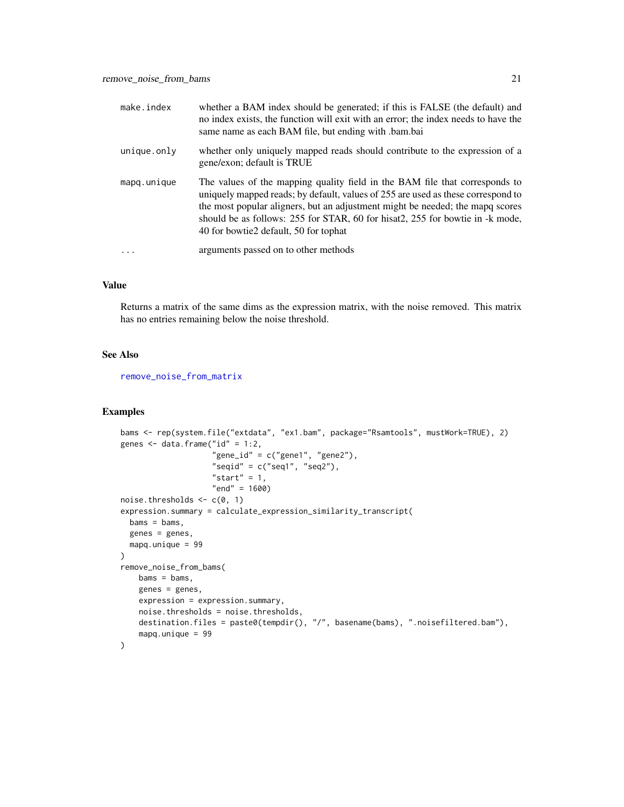<span id="page-20-0"></span>

| make.index  | whether a BAM index should be generated; if this is FALSE (the default) and<br>no index exists, the function will exit with an error; the index needs to have the<br>same name as each BAM file, but ending with .bam.bai                                                                                                                                                  |
|-------------|----------------------------------------------------------------------------------------------------------------------------------------------------------------------------------------------------------------------------------------------------------------------------------------------------------------------------------------------------------------------------|
| unique.only | whether only uniquely mapped reads should contribute to the expression of a<br>gene/exon; default is TRUE                                                                                                                                                                                                                                                                  |
| mapq.unique | The values of the mapping quality field in the BAM file that corresponds to<br>uniquely mapped reads; by default, values of 255 are used as these correspond to<br>the most popular aligners, but an adjustment might be needed; the mapq scores<br>should be as follows: 255 for STAR, 60 for hisat2, 255 for bowtie in -k mode,<br>40 for bowtie2 default, 50 for tophat |
|             | arguments passed on to other methods                                                                                                                                                                                                                                                                                                                                       |

Returns a matrix of the same dims as the expression matrix, with the noise removed. This matrix has no entries remaining below the noise threshold.

#### See Also

[remove\\_noise\\_from\\_matrix](#page-21-1)

```
bams <- rep(system.file("extdata", "ex1.bam", package="Rsamtools", mustWork=TRUE), 2)
genes \leq data.frame("id" = 1:2,
                    "gene_id" = c("gene1", "gene2"),
                    "seqid" = c("seq1", "seq2"),
                    "start" = 1,
                    "end" = 1600)
noise.thresholds \leq c(0, 1)expression.summary = calculate_expression_similarity_transcript(
  bams = bams,genes = genes,
 mapq.unique = 99
)
remove_noise_from_bams(
   bams = bams,genes = genes,
   expression = expression.summary,
   noise.thresholds = noise.thresholds,
   destination.files = paste0(tempdir(), "/", basename(bams), ".noisefiltered.bam"),
   mapq.unique = 99
)
```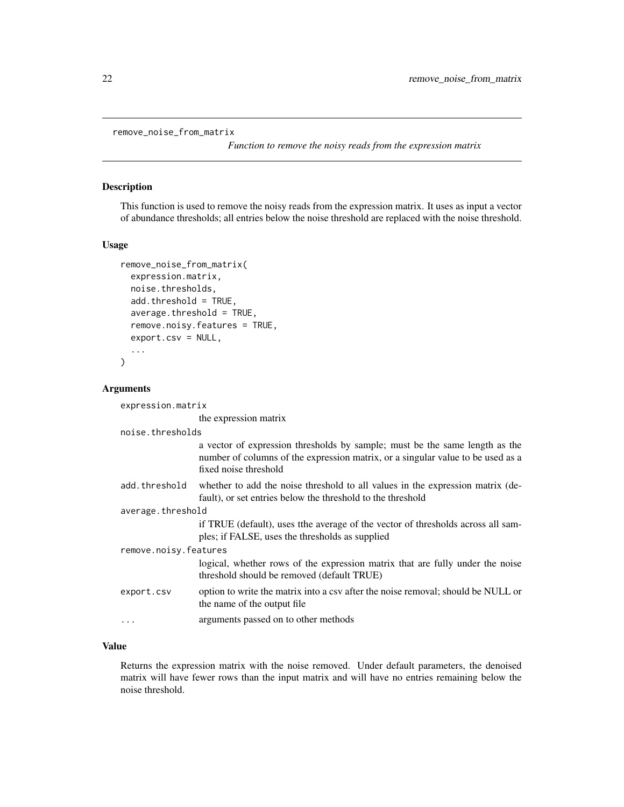```
remove_noise_from_matrix
```
*Function to remove the noisy reads from the expression matrix*

#### Description

This function is used to remove the noisy reads from the expression matrix. It uses as input a vector of abundance thresholds; all entries below the noise threshold are replaced with the noise threshold.

#### Usage

```
remove_noise_from_matrix(
  expression.matrix,
  noise.thresholds,
  add.threshold = TRUE,
  average.threshold = TRUE,
  remove.noisy.features = TRUE,
  export.csv = NULL,
  ...
```

```
)
```
#### Arguments

expression.matrix

the expression matrix

noise.thresholds

| a vector of expression thresholds by sample; must be the same length as the     |
|---------------------------------------------------------------------------------|
| number of columns of the expression matrix, or a singular value to be used as a |
| fixed noise threshold                                                           |

add.threshold whether to add the noise threshold to all values in the expression matrix (default), or set entries below the threshold to the threshold

average.threshold

if TRUE (default), uses tthe average of the vector of thresholds across all samples; if FALSE, uses the thresholds as supplied

remove.noisy.features logical, whether rows of the expression matrix that are fully under the noise threshold should be removed (default TRUE) export.csv option to write the matrix into a csy after the noise removal; should be NULL or

the name of the output file

... arguments passed on to other methods

#### Value

Returns the expression matrix with the noise removed. Under default parameters, the denoised matrix will have fewer rows than the input matrix and will have no entries remaining below the noise threshold.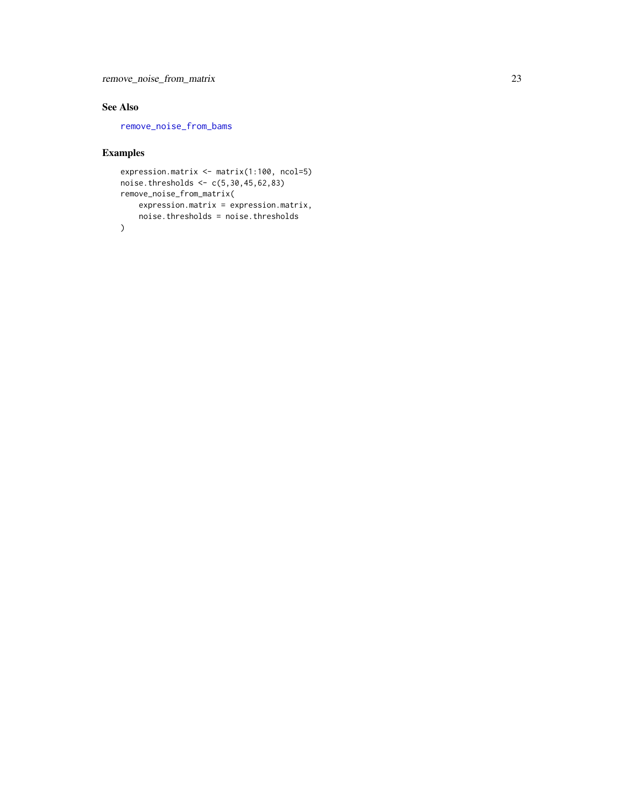#### <span id="page-22-0"></span>See Also

[remove\\_noise\\_from\\_bams](#page-19-1)

```
expression.matrix <- matrix(1:100, ncol=5)
noise.thresholds <- c(5,30,45,62,83)
remove_noise_from_matrix(
   expression.matrix = expression.matrix,
    noise.thresholds = noise.thresholds
\lambda
```